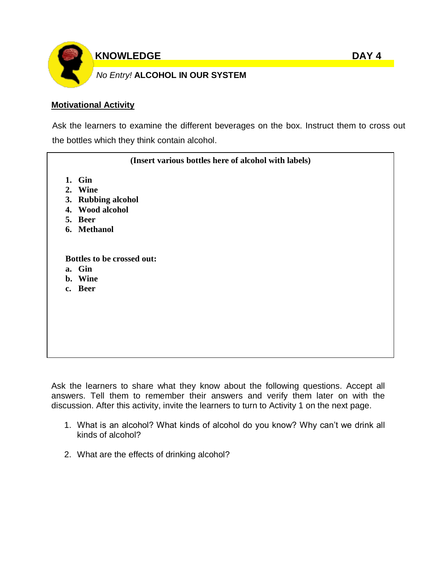

**KNOWLEDGE** DAY 4

# *No Entry!* **ALCOHOL IN OUR SYSTEM**

### **Motivational Activity**

Ask the learners to examine the different beverages on the box. Instruct them to cross out the bottles which they think contain alcohol.

| (Insert various bottles here of alcohol with labels) |                                                                                      |  |  |  |
|------------------------------------------------------|--------------------------------------------------------------------------------------|--|--|--|
|                                                      | 1. Gin<br>2. Wine<br>3. Rubbing alcohol<br>4. Wood alcohol<br>5. Beer<br>6. Methanol |  |  |  |
|                                                      | Bottles to be crossed out:<br>a. Gin<br>b. Wine<br>c. Beer                           |  |  |  |

Ask the learners to share what they know about the following questions. Accept all answers. Tell them to remember their answers and verify them later on with the discussion. After this activity, invite the learners to turn to Activity 1 on the next page.

- 1. What is an alcohol? What kinds of alcohol do you know? Why can't we drink all kinds of alcohol?
- 2. What are the effects of drinking alcohol?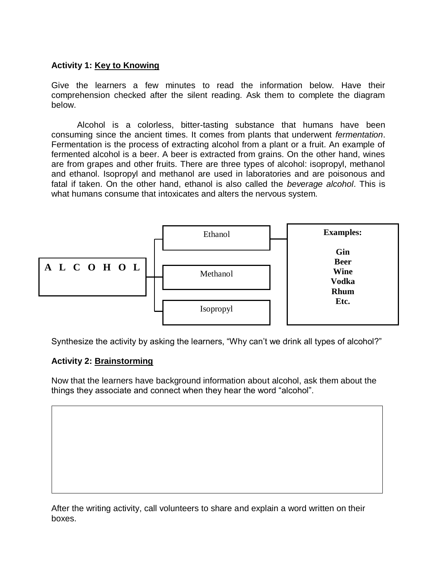### **Activity 1: Key to Knowing**

Give the learners a few minutes to read the information below. Have their comprehension checked after the silent reading. Ask them to complete the diagram below.

Alcohol is a colorless, bitter-tasting substance that humans have been consuming since the ancient times. It comes from plants that underwent *fermentation*. Fermentation is the process of extracting alcohol from a plant or a fruit. An example of fermented alcohol is a beer. A beer is extracted from grains. On the other hand, wines are from grapes and other fruits. There are three types of alcohol: isopropyl, methanol and ethanol. Isopropyl and methanol are used in laboratories and are poisonous and fatal if taken. On the other hand, ethanol is also called the *beverage alcohol*. This is what humans consume that intoxicates and alters the nervous system.



Synthesize the activity by asking the learners, "Why can't we drink all types of alcohol?"

### **Activity 2: Brainstorming**

Now that the learners have background information about alcohol, ask them about the things they associate and connect when they hear the word "alcohol".

After the writing activity, call volunteers to share and explain a word written on their boxes.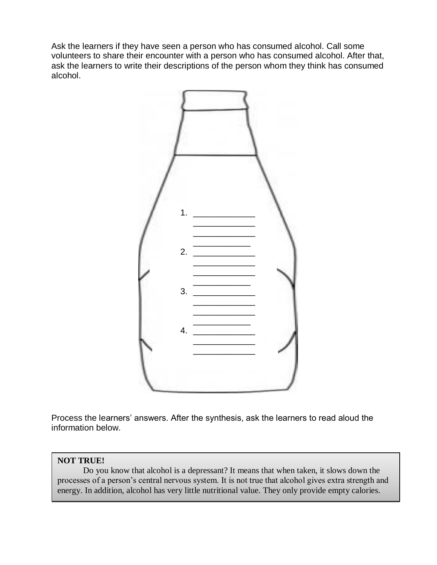Ask the learners if they have seen a person who has consumed alcohol. Call some volunteers to share their encounter with a person who has consumed alcohol. After that, ask the learners to write their descriptions of the person whom they think has consumed alcohol.



Process the learners' answers. After the synthesis, ask the learners to read aloud the information below.

#### **NOT TRUE!**

Do you know that alcohol is a depressant? It means that when taken, it slows down the processes of a person's central nervous system. It is not true that alcohol gives extra strength and energy. In addition, alcohol has very little nutritional value. They only provide empty calories.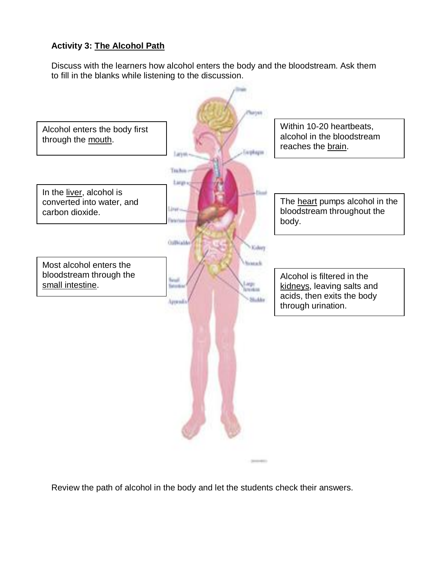# **Activity 3: The Alcohol Path**

Discuss with the learners how alcohol enters the body and the bloodstream. Ask them to fill in the blanks while listening to the discussion.



Review the path of alcohol in the body and let the students check their answers.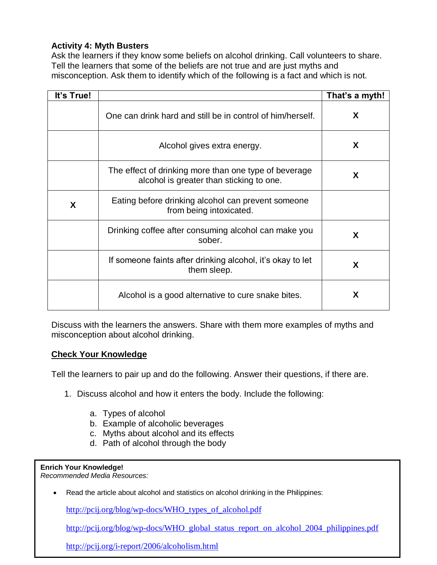### **Activity 4: Myth Busters**

Ask the learners if they know some beliefs on alcohol drinking. Call volunteers to share. Tell the learners that some of the beliefs are not true and are just myths and misconception. Ask them to identify which of the following is a fact and which is not.

| It's True! |                                                                                                   | That's a myth! |
|------------|---------------------------------------------------------------------------------------------------|----------------|
|            | One can drink hard and still be in control of him/herself.                                        | X.             |
|            | Alcohol gives extra energy.                                                                       | X.             |
|            | The effect of drinking more than one type of beverage<br>alcohol is greater than sticking to one. | X.             |
| X          | Eating before drinking alcohol can prevent someone<br>from being intoxicated.                     |                |
|            | Drinking coffee after consuming alcohol can make you<br>sober.                                    | X              |
|            | If someone faints after drinking alcohol, it's okay to let<br>them sleep.                         | X              |
|            | Alcohol is a good alternative to cure snake bites.                                                | X              |

Discuss with the learners the answers. Share with them more examples of myths and misconception about alcohol drinking.

### **Check Your Knowledge**

Tell the learners to pair up and do the following. Answer their questions, if there are.

- 1. Discuss alcohol and how it enters the body. Include the following:
	- a. Types of alcohol
	- b. Example of alcoholic beverages
	- c. Myths about alcohol and its effects
	- d. Path of alcohol through the body

#### **Enrich Your Knowledge!**

*Recommended Media Resources:*

Read the article about alcohol and statistics on alcohol drinking in the Philippines:

[http://pcij.org/blog/wp-docs/WHO\\_types\\_of\\_alcohol.pdf](http://pcij.org/blog/wp-docs/WHO_types_of_alcohol.pdf)

[http://pcij.org/blog/wp-docs/WHO\\_global\\_status\\_report\\_on\\_alcohol\\_2004\\_philippines.pdf](http://pcij.org/blog/wp-docs/WHO_global_status_report_on_alcohol_2004_philippines.pdf)

<http://pcij.org/i-report/2006/alcoholism.html>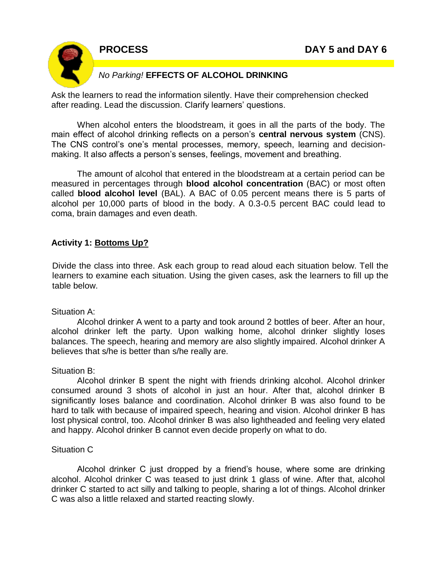

### *No Parking!* **EFFECTS OF ALCOHOL DRINKING**

Ask the learners to read the information silently. Have their comprehension checked after reading. Lead the discussion. Clarify learners' questions.

When alcohol enters the bloodstream, it goes in all the parts of the body. The main effect of alcohol drinking reflects on a person's **central nervous system** (CNS). The CNS control's one's mental processes, memory, speech, learning and decisionmaking. It also affects a person's senses, feelings, movement and breathing.

The amount of alcohol that entered in the bloodstream at a certain period can be measured in percentages through **blood alcohol concentration** (BAC) or most often called **blood alcohol level** (BAL). A BAC of 0.05 percent means there is 5 parts of alcohol per 10,000 parts of blood in the body. A 0.3-0.5 percent BAC could lead to coma, brain damages and even death.

### **Activity 1: Bottoms Up?**

Divide the class into three. Ask each group to read aloud each situation below. Tell the learners to examine each situation. Using the given cases, ask the learners to fill up the table below.

#### Situation A:

Alcohol drinker A went to a party and took around 2 bottles of beer. After an hour, alcohol drinker left the party. Upon walking home, alcohol drinker slightly loses balances. The speech, hearing and memory are also slightly impaired. Alcohol drinker A believes that s/he is better than s/he really are.

### Situation B:

Alcohol drinker B spent the night with friends drinking alcohol. Alcohol drinker consumed around 3 shots of alcohol in just an hour. After that, alcohol drinker B significantly loses balance and coordination. Alcohol drinker B was also found to be hard to talk with because of impaired speech, hearing and vision. Alcohol drinker B has lost physical control, too. Alcohol drinker B was also lightheaded and feeling very elated and happy. Alcohol drinker B cannot even decide properly on what to do.

#### Situation C

Alcohol drinker C just dropped by a friend's house, where some are drinking alcohol. Alcohol drinker C was teased to just drink 1 glass of wine. After that, alcohol drinker C started to act silly and talking to people, sharing a lot of things. Alcohol drinker C was also a little relaxed and started reacting slowly.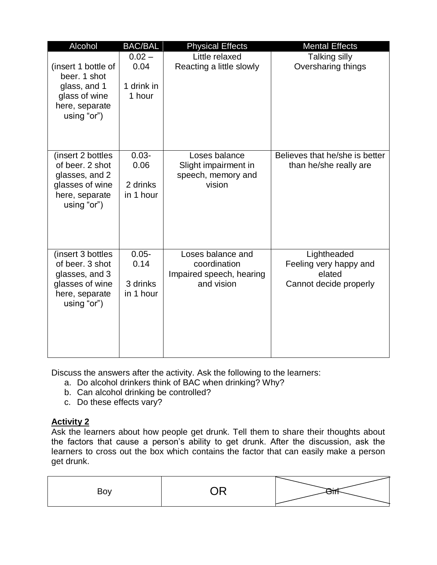| Alcohol                                                                                                     | <b>BAC/BAL</b>                            | <b>Physical Effects</b>                                                     | <b>Mental Effects</b>                                                     |
|-------------------------------------------------------------------------------------------------------------|-------------------------------------------|-----------------------------------------------------------------------------|---------------------------------------------------------------------------|
| (insert 1 bottle of<br>beer. 1 shot<br>glass, and 1<br>glass of wine<br>here, separate<br>using "or")       | $0.02 -$<br>0.04<br>1 drink in<br>1 hour  | Little relaxed<br>Reacting a little slowly                                  | Talking silly<br>Oversharing things                                       |
| (insert 2 bottles)<br>of beer. 2 shot<br>glasses, and 2<br>glasses of wine<br>here, separate<br>using "or") | $0.03 -$<br>0.06<br>2 drinks<br>in 1 hour | Loses balance<br>Slight impairment in<br>speech, memory and<br>vision       | Believes that he/she is better<br>than he/she really are                  |
| (insert 3 bottles)<br>of beer, 3 shot<br>glasses, and 3<br>glasses of wine<br>here, separate<br>using "or") | $0.05 -$<br>0.14<br>3 drinks<br>in 1 hour | Loses balance and<br>coordination<br>Impaired speech, hearing<br>and vision | Lightheaded<br>Feeling very happy and<br>elated<br>Cannot decide properly |

Discuss the answers after the activity. Ask the following to the learners:

- a. Do alcohol drinkers think of BAC when drinking? Why?
- b. Can alcohol drinking be controlled?
- c. Do these effects vary?

# **Activity 2**

Ask the learners about how people get drunk. Tell them to share their thoughts about the factors that cause a person's ability to get drunk. After the discussion, ask the learners to cross out the box which contains the factor that can easily make a person get drunk.

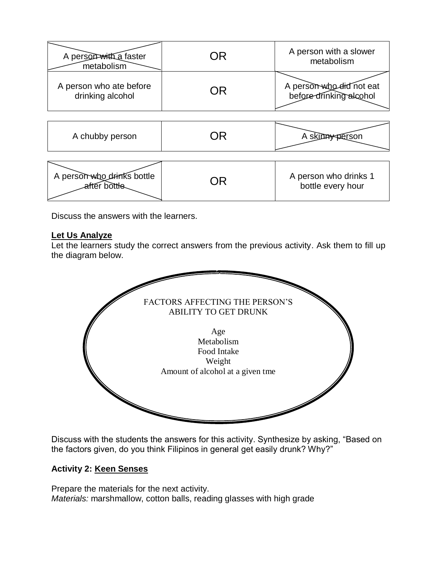| A person with a faster<br>metabolism        |    | A person with a slower<br>metabolism                |
|---------------------------------------------|----|-----------------------------------------------------|
| A person who ate before<br>drinking alcohol | NR | A person who did not eat<br>before drinking alcohol |

| A chubby person            | ≮person               |
|----------------------------|-----------------------|
| A person who drinks bottle | A person who drinks 1 |

n who drinks bottle  $\begin{matrix} \text{or} & \text{or} & \text{or} & \text{or} & \text{or} & \text{or} & \text{or} & \text{or} & \text{or} & \text{or} & \text{or} & \text{or} & \text{or} & \text{or} & \text{or} & \text{or} & \text{or} & \text{or} & \text{or} & \text{or} & \text{or} & \text{or} & \text{or} & \text{or} & \text{or} & \text{or} & \text{or} & \text{or} & \text{or} & \text{or} & \text{or} & \text{or} & \text{or$ 

Discuss the answers with the learners.

### **Let Us Analyze**

Let the learners study the correct answers from the previous activity. Ask them to fill up the diagram below.



Discuss with the students the answers for this activity. Synthesize by asking, "Based on the factors given, do you think Filipinos in general get easily drunk? Why?"

### **Activity 2: Keen Senses**

Prepare the materials for the next activity. *Materials:* marshmallow, cotton balls, reading glasses with high grade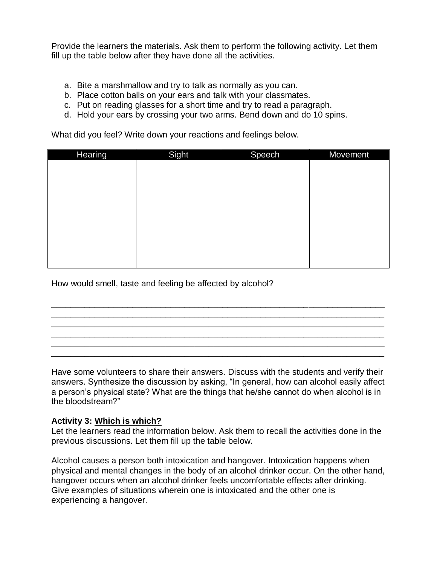Provide the learners the materials. Ask them to perform the following activity. Let them fill up the table below after they have done all the activities.

- a. Bite a marshmallow and try to talk as normally as you can.
- b. Place cotton balls on your ears and talk with your classmates.
- c. Put on reading glasses for a short time and try to read a paragraph.
- d. Hold your ears by crossing your two arms. Bend down and do 10 spins.

What did you feel? Write down your reactions and feelings below.

| <b>Hearing</b> | Sight | <b>Speech</b> | Movement |
|----------------|-------|---------------|----------|
|                |       |               |          |
|                |       |               |          |
|                |       |               |          |
|                |       |               |          |
|                |       |               |          |
|                |       |               |          |
|                |       |               |          |
|                |       |               |          |
|                |       |               |          |
|                |       |               |          |

How would smell, taste and feeling be affected by alcohol?

Have some volunteers to share their answers. Discuss with the students and verify their answers. Synthesize the discussion by asking, "In general, how can alcohol easily affect a person's physical state? What are the things that he/she cannot do when alcohol is in the bloodstream?"

\_\_\_\_\_\_\_\_\_\_\_\_\_\_\_\_\_\_\_\_\_\_\_\_\_\_\_\_\_\_\_\_\_\_\_\_\_\_\_\_\_\_\_\_\_\_\_\_\_\_\_\_\_\_\_\_\_\_\_\_\_\_\_\_\_\_\_\_\_\_ \_\_\_\_\_\_\_\_\_\_\_\_\_\_\_\_\_\_\_\_\_\_\_\_\_\_\_\_\_\_\_\_\_\_\_\_\_\_\_\_\_\_\_\_\_\_\_\_\_\_\_\_\_\_\_\_\_\_\_\_\_\_\_\_\_\_\_\_\_\_ \_\_\_\_\_\_\_\_\_\_\_\_\_\_\_\_\_\_\_\_\_\_\_\_\_\_\_\_\_\_\_\_\_\_\_\_\_\_\_\_\_\_\_\_\_\_\_\_\_\_\_\_\_\_\_\_\_\_\_\_\_\_\_\_\_\_\_\_\_\_ \_\_\_\_\_\_\_\_\_\_\_\_\_\_\_\_\_\_\_\_\_\_\_\_\_\_\_\_\_\_\_\_\_\_\_\_\_\_\_\_\_\_\_\_\_\_\_\_\_\_\_\_\_\_\_\_\_\_\_\_\_\_\_\_\_\_\_\_\_\_ \_\_\_\_\_\_\_\_\_\_\_\_\_\_\_\_\_\_\_\_\_\_\_\_\_\_\_\_\_\_\_\_\_\_\_\_\_\_\_\_\_\_\_\_\_\_\_\_\_\_\_\_\_\_\_\_\_\_\_\_\_\_\_\_\_\_\_\_\_\_ \_\_\_\_\_\_\_\_\_\_\_\_\_\_\_\_\_\_\_\_\_\_\_\_\_\_\_\_\_\_\_\_\_\_\_\_\_\_\_\_\_\_\_\_\_\_\_\_\_\_\_\_\_\_\_\_\_\_\_\_\_\_\_\_\_\_\_\_\_\_

#### **Activity 3: Which is which?**

Let the learners read the information below. Ask them to recall the activities done in the previous discussions. Let them fill up the table below.

Alcohol causes a person both intoxication and hangover. Intoxication happens when physical and mental changes in the body of an alcohol drinker occur. On the other hand, hangover occurs when an alcohol drinker feels uncomfortable effects after drinking. Give examples of situations wherein one is intoxicated and the other one is experiencing a hangover.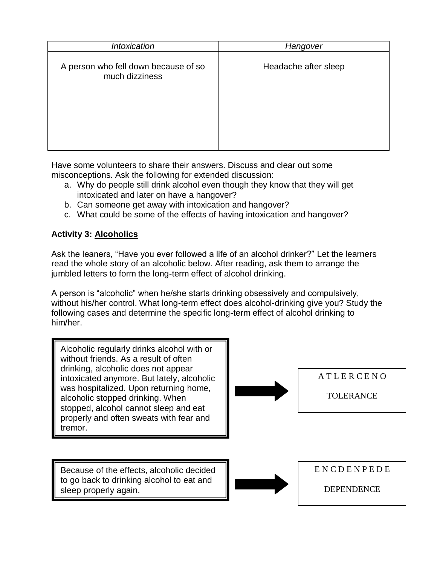| <b>Intoxication</b>                                    | Hangover             |
|--------------------------------------------------------|----------------------|
| A person who fell down because of so<br>much dizziness | Headache after sleep |
|                                                        |                      |

Have some volunteers to share their answers. Discuss and clear out some misconceptions. Ask the following for extended discussion:

- a. Why do people still drink alcohol even though they know that they will get intoxicated and later on have a hangover?
- b. Can someone get away with intoxication and hangover?
- c. What could be some of the effects of having intoxication and hangover?

### **Activity 3: Alcoholics**

Ask the leaners, "Have you ever followed a life of an alcohol drinker?" Let the learners read the whole story of an alcoholic below. After reading, ask them to arrange the jumbled letters to form the long-term effect of alcohol drinking.

A person is "alcoholic" when he/she starts drinking obsessively and compulsively, without his/her control. What long-term effect does alcohol-drinking give you? Study the following cases and determine the specific long-term effect of alcohol drinking to him/her.

Alcoholic regularly drinks alcohol with or without friends. As a result of often drinking, alcoholic does not appear intoxicated anymore. But lately, alcoholic was hospitalized. Upon returning home, alcoholic stopped drinking. When stopped, alcohol cannot sleep and eat properly and often sweats with fear and tremor.



A T L E R C E N O

TOLERANCE

Because of the effects, alcoholic decided to go back to drinking alcohol to eat and sleep properly again.



DEPENDENCE

E N C D E N P E D E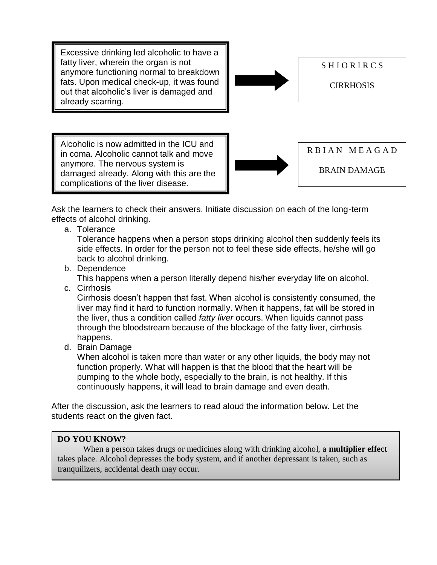Excessive drinking led alcoholic to have a fatty liver, wherein the organ is not anymore functioning normal to breakdown fats. Upon medical check-up, it was found out that alcoholic's liver is damaged and already scarring.



S H I O R I R C S

CIRRHOSIS

Alcoholic is now admitted in the ICU and in coma. Alcoholic cannot talk and move anymore. The nervous system is damaged already. Along with this are the complications of the liver disease.



R B I A N M E A G A D

BRAIN DAMAGE

Ask the learners to check their answers. Initiate discussion on each of the long-term effects of alcohol drinking.

a. Tolerance

Tolerance happens when a person stops drinking alcohol then suddenly feels its side effects. In order for the person not to feel these side effects, he/she will go back to alcohol drinking.

b. Dependence

This happens when a person literally depend his/her everyday life on alcohol.

c. Cirrhosis

Cirrhosis doesn't happen that fast. When alcohol is consistently consumed, the liver may find it hard to function normally. When it happens, fat will be stored in the liver, thus a condition called *fatty liver* occurs. When liquids cannot pass through the bloodstream because of the blockage of the fatty liver, cirrhosis happens.

d. Brain Damage

When alcohol is taken more than water or any other liquids, the body may not function properly. What will happen is that the blood that the heart will be pumping to the whole body, especially to the brain, is not healthy. If this continuously happens, it will lead to brain damage and even death.

After the discussion, ask the learners to read aloud the information below. Let the students react on the given fact.

# **DO YOU KNOW?**

When a person takes drugs or medicines along with drinking alcohol, a **multiplier effect** takes place. Alcohol depresses the body system, and if another depressant is taken, such as tranquilizers, accidental death may occur.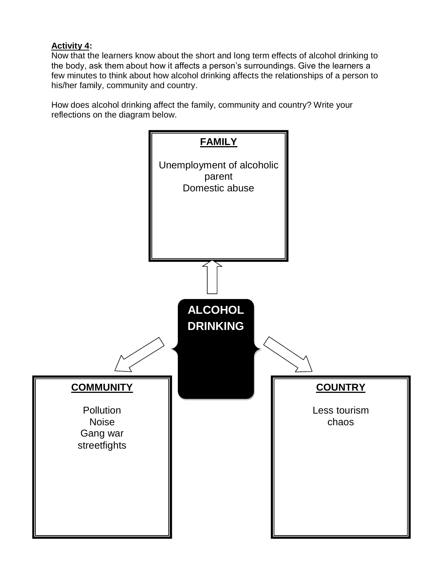# **Activity 4:**

Now that the learners know about the short and long term effects of alcohol drinking to the body, ask them about how it affects a person's surroundings. Give the learners a few minutes to think about how alcohol drinking affects the relationships of a person to his/her family, community and country.

How does alcohol drinking affect the family, community and country? Write your reflections on the diagram below.

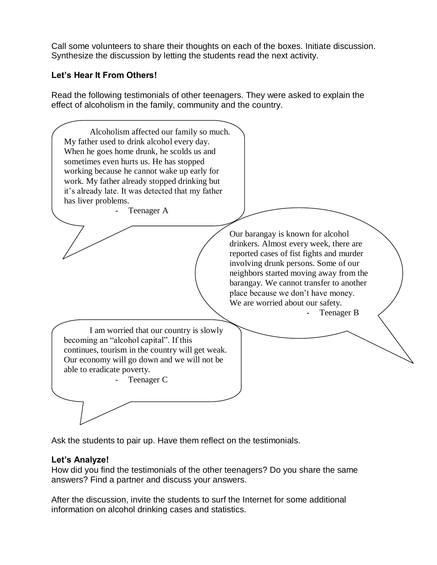Call some volunteers to share their thoughts on each of the boxes. Initiate discussion. Synthesize the discussion by letting the students read the next activity.

### **Let's Hear It From Others!**

Read the following testimonials of other teenagers. They were asked to explain the effect of alcoholism in the family, community and the country.



Ask the students to pair up. Have them reflect on the testimonials.

### **Let's Analyze!**

How did you find the testimonials of the other teenagers? Do you share the same answers? Find a partner and discuss your answers.

After the discussion, invite the students to surf the Internet for some additional information on alcohol drinking cases and statistics.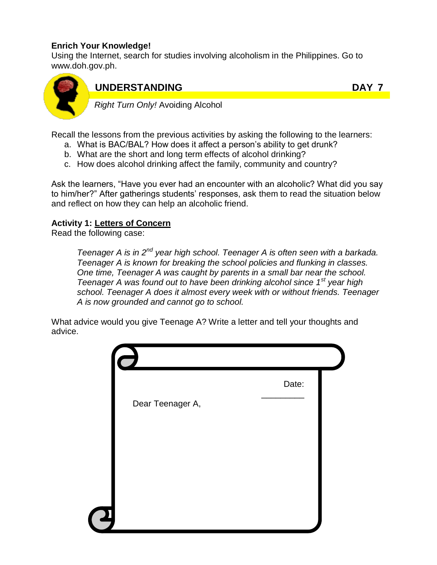### **Enrich Your Knowledge!**

Using the Internet, search for studies involving alcoholism in the Philippines. Go to www.doh.gov.ph.



# **UNDERSTANDING DAY 7**

*Right Turn Only!* Avoiding Alcohol

Recall the lessons from the previous activities by asking the following to the learners:

- a. What is BAC/BAL? How does it affect a person's ability to get drunk?
- b. What are the short and long term effects of alcohol drinking?
- c. How does alcohol drinking affect the family, community and country?

Ask the learners, "Have you ever had an encounter with an alcoholic? What did you say to him/her?" After gatherings students' responses, ask them to read the situation below and reflect on how they can help an alcoholic friend.

### **Activity 1: Letters of Concern**

Read the following case:

*Teenager A is in 2nd year high school. Teenager A is often seen with a barkada. Teenager A is known for breaking the school policies and flunking in classes. One time, Teenager A was caught by parents in a small bar near the school. Teenager A was found out to have been drinking alcohol since 1st year high school. Teenager A does it almost every week with or without friends. Teenager A is now grounded and cannot go to school.*

What advice would you give Teenage A? Write a letter and tell your thoughts and advice.

|                  | Date: |
|------------------|-------|
| Dear Teenager A, |       |
|                  |       |
|                  |       |
|                  |       |
| 2                |       |
|                  |       |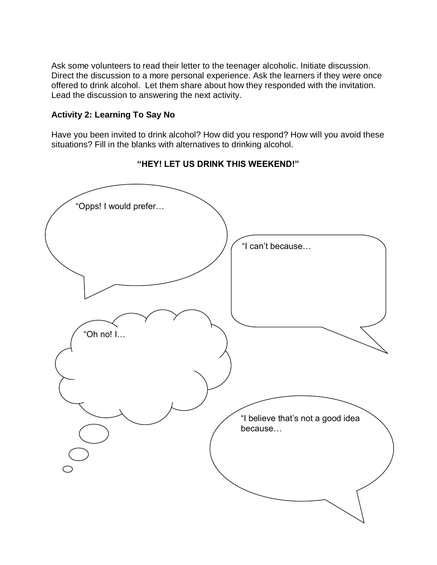Ask some volunteers to read their letter to the teenager alcoholic. Initiate discussion. Direct the discussion to a more personal experience. Ask the learners if they were once offered to drink alcohol. Let them share about how they responded with the invitation. Lead the discussion to answering the next activity.

### **Activity 2: Learning To Say No**

Have you been invited to drink alcohol? How did you respond? How will you avoid these situations? Fill in the blanks with alternatives to drinking alcohol.



### **"HEY! LET US DRINK THIS WEEKEND!"**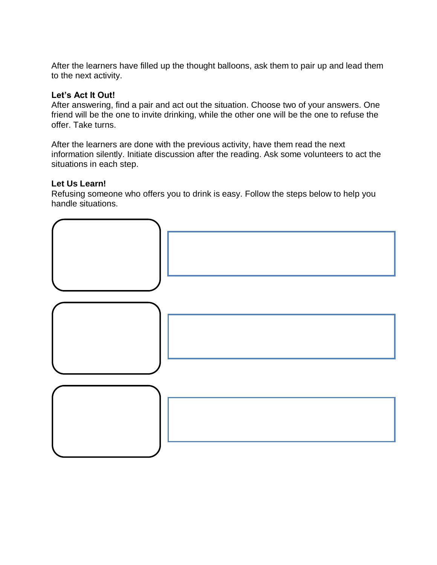After the learners have filled up the thought balloons, ask them to pair up and lead them to the next activity.

### **Let's Act It Out!**

After answering, find a pair and act out the situation. Choose two of your answers. One friend will be the one to invite drinking, while the other one will be the one to refuse the offer. Take turns.

After the learners are done with the previous activity, have them read the next information silently. Initiate discussion after the reading. Ask some volunteers to act the situations in each step.

### **Let Us Learn!**

Refusing someone who offers you to drink is easy. Follow the steps below to help you handle situations.

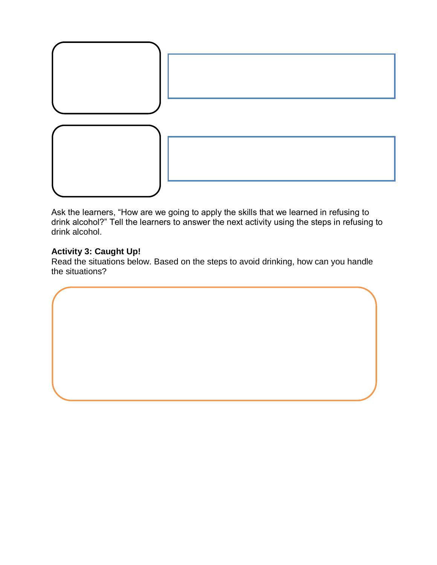

Ask the learners, "How are we going to apply the skills that we learned in refusing to drink alcohol?" Tell the learners to answer the next activity using the steps in refusing to drink alcohol.

### **Activity 3: Caught Up!**

Read the situations below. Based on the steps to avoid drinking, how can you handle the situations?

 $\overline{\phantom{a}}$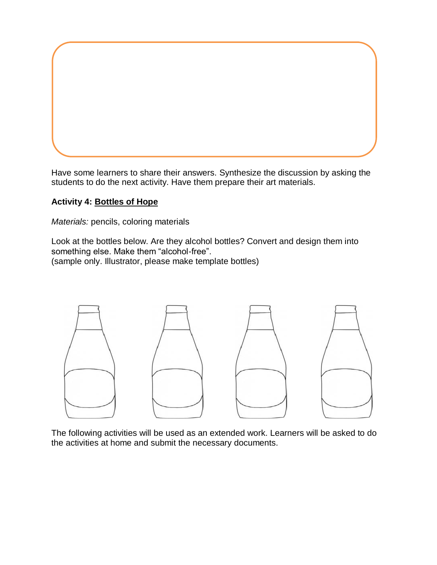Have some learners to share their answers. Synthesize the discussion by asking the students to do the next activity. Have them prepare their art materials.

### **Activity 4: Bottles of Hope**

*Materials:* pencils, coloring materials

Look at the bottles below. Are they alcohol bottles? Convert and design them into something else. Make them "alcohol-free". (sample only. Illustrator, please make template bottles)



The following activities will be used as an extended work. Learners will be asked to do the activities at home and submit the necessary documents.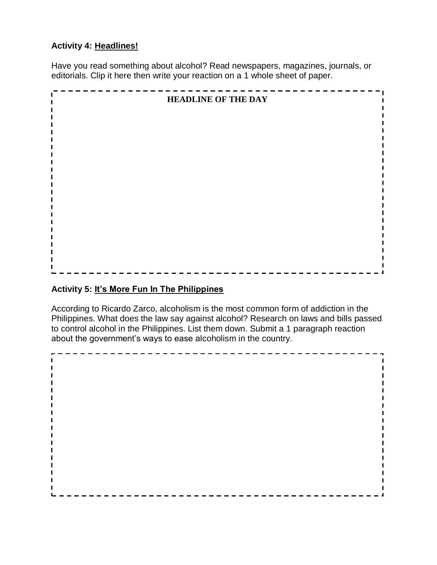### **Activity 4: Headlines!**

Have you read something about alcohol? Read newspapers, magazines, journals, or editorials. Clip it here then write your reaction on a 1 whole sheet of paper.



### **Activity 5: It's More Fun In The Philippines**

According to Ricardo Zarco, alcoholism is the most common form of addiction in the Philippines. What does the law say against alcohol? Research on laws and bills passed to control alcohol in the Philippines. List them down. Submit a 1 paragraph reaction about the government's ways to ease alcoholism in the country.

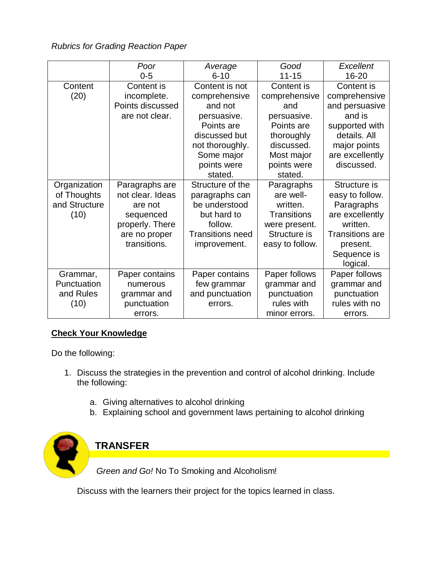*Rubrics for Grading Reaction Paper*

|               | Poor             | Average                 | Good               | Excellent              |
|---------------|------------------|-------------------------|--------------------|------------------------|
|               | $0 - 5$          | $6 - 10$                | $11 - 15$          | 16-20                  |
| Content       | Content is       | Content is not          | Content is         | Content is             |
| (20)          | incomplete.      | comprehensive           | comprehensive      | comprehensive          |
|               | Points discussed | and not                 | and                | and persuasive         |
|               | are not clear.   | persuasive.             | persuasive.        | and is                 |
|               |                  | Points are              | Points are         | supported with         |
|               |                  | discussed but           | thoroughly         | details. All           |
|               |                  | not thoroughly.         | discussed.         | major points           |
|               |                  | Some major              | Most major         | are excellently        |
|               |                  | points were             | points were        | discussed.             |
|               |                  | stated.                 | stated.            |                        |
| Organization  | Paragraphs are   | Structure of the        | Paragraphs         | Structure is           |
| of Thoughts   | not clear. Ideas | paragraphs can          | are well-          | easy to follow.        |
| and Structure | are not          | be understood           | written.           | Paragraphs             |
| (10)          | sequenced        | but hard to             | <b>Transitions</b> | are excellently        |
|               | properly. There  | follow.                 | were present.      | written.               |
|               | are no proper    | <b>Transitions need</b> | Structure is       | <b>Transitions are</b> |
|               | transitions.     | improvement.            | easy to follow.    | present.               |
|               |                  |                         |                    | Sequence is            |
|               |                  |                         |                    | logical.               |
| Grammar,      | Paper contains   | Paper contains          | Paper follows      | Paper follows          |
| Punctuation   | numerous         | few grammar             | grammar and        | grammar and            |
| and Rules     | grammar and      | and punctuation         | punctuation        | punctuation            |
| (10)          | punctuation      | errors.                 | rules with         | rules with no          |
|               | errors.          |                         | minor errors.      | errors.                |

### **Check Your Knowledge**

Do the following:

- 1. Discuss the strategies in the prevention and control of alcohol drinking. Include the following:
	- a. Giving alternatives to alcohol drinking
	- b. Explaining school and government laws pertaining to alcohol drinking



Discuss with the learners their project for the topics learned in class.